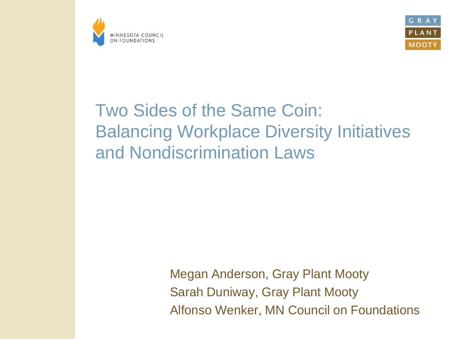



### Two Sides of the Same Coin: Balancing Workplace Diversity Initiatives and Nondiscrimination Laws

Megan Anderson, Gray Plant Mooty Sarah Duniway, Gray Plant Mooty Alfonso Wenker, MN Council on Foundations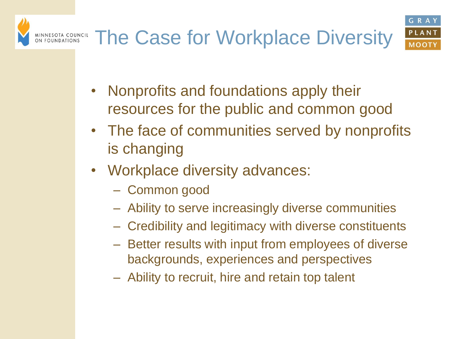#### The Case for Workplace DiversityMINNESOTA COUNCIL<br>ON FOUNDATIONS



- Nonprofits and foundations apply their resources for the public and common good
- The face of communities served by nonprofits is changing
- Workplace diversity advances:
	- Common good
	- Ability to serve increasingly diverse communities
	- Credibility and legitimacy with diverse constituents
	- Better results with input from employees of diverse backgrounds, experiences and perspectives
	- Ability to recruit, hire and retain top talent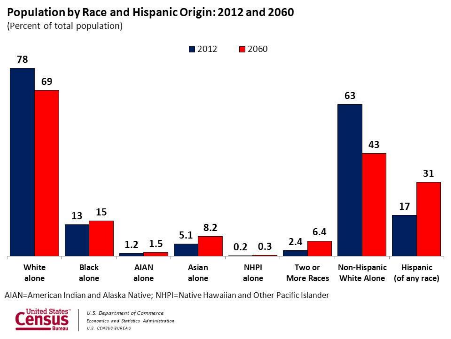#### Population by Race and Hispanic Origin: 2012 and 2060

(Percent of total population)



AIAN=American Indian and Alaska Native; NHPI=Native Hawaiian and Other Pacific Islander

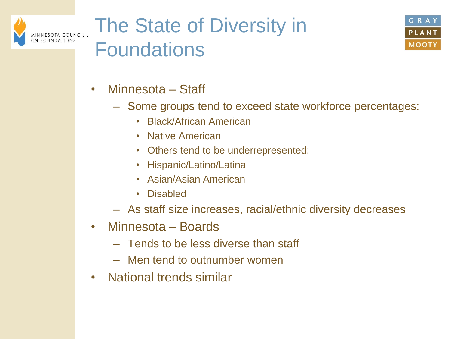

## The State of Diversity in Foundations



- Minnesota Staff
	- Some groups tend to exceed state workforce percentages:
		- Black/African American
		- Native American
		- Others tend to be underrepresented:
		- Hispanic/Latino/Latina
		- Asian/Asian American
		- Disabled
	- As staff size increases, racial/ethnic diversity decreases
- Minnesota Boards
	- Tends to be less diverse than staff
	- Men tend to outnumber women
- National trends similar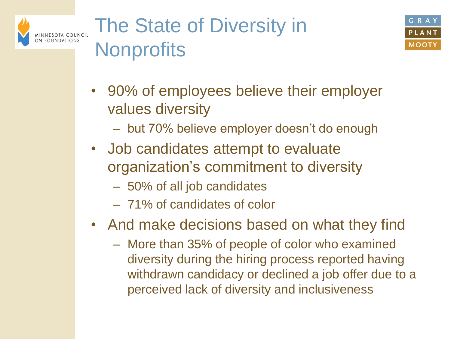

## The State of Diversity in **Nonprofits**



- 90% of employees believe their employer values diversity
	- but 70% believe employer doesn't do enough
- Job candidates attempt to evaluate organization's commitment to diversity
	- 50% of all job candidates
	- 71% of candidates of color
- And make decisions based on what they find
	- More than 35% of people of color who examined diversity during the hiring process reported having withdrawn candidacy or declined a job offer due to a perceived lack of diversity and inclusiveness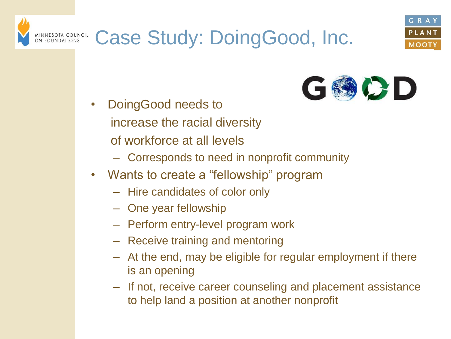



• DoingGood needs to increase the racial diversity of workforce at all levels

MINNESOTA COUNCIL<br>ON FOUNDATIONS

– Corresponds to need in nonprofit community

Case Study: DoingGood, Inc.

- Wants to create a "fellowship" program
	- Hire candidates of color only
	- One year fellowship
	- Perform entry-level program work
	- Receive training and mentoring
	- At the end, may be eligible for regular employment if there is an opening
	- If not, receive career counseling and placement assistance to help land a position at another nonprofit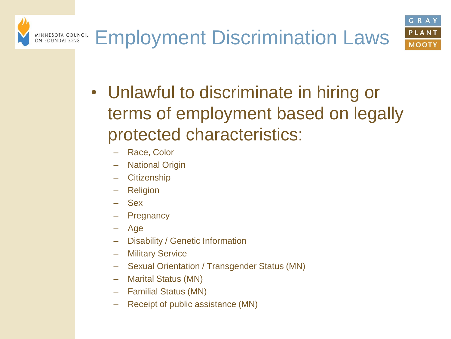

- Unlawful to discriminate in hiring or terms of employment based on legally protected characteristics:
	- Race, Color
	- **National Origin**
	- **Citizenship**
	- **Religion**
	- Sex
	- **Pregnancy**
	- Age
	- Disability / Genetic Information
	- **Military Service**
	- Sexual Orientation / Transgender Status (MN)
	- Marital Status (MN)
	- Familial Status (MN)
	- Receipt of public assistance (MN)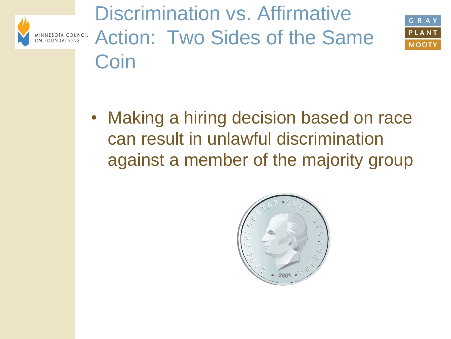

Discrimination vs. Affirmative Action: Two Sides of the Same Coin



• Making a hiring decision based on race can result in unlawful discrimination against a member of the majority group

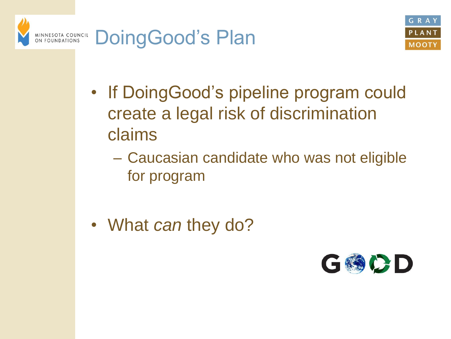



- If DoingGood's pipeline program could create a legal risk of discrimination claims
	- Caucasian candidate who was not eligible for program
- What *can* they do?

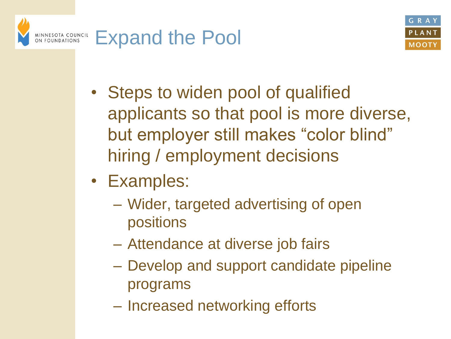



- Steps to widen pool of qualified applicants so that pool is more diverse, but employer still makes "color blind" hiring / employment decisions
- Examples:
	- Wider, targeted advertising of open positions
	- Attendance at diverse job fairs
	- Develop and support candidate pipeline programs
	- Increased networking efforts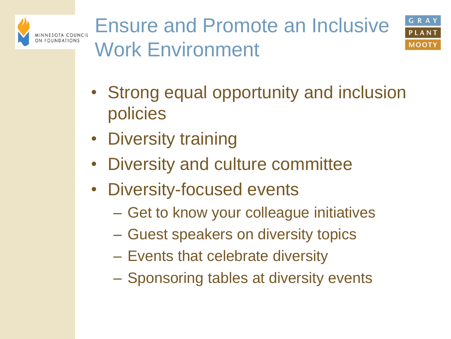



- Strong equal opportunity and inclusion policies
- Diversity training
- Diversity and culture committee
- Diversity-focused events
	- Get to know your colleague initiatives
	- Guest speakers on diversity topics
	- Events that celebrate diversity
	- Sponsoring tables at diversity events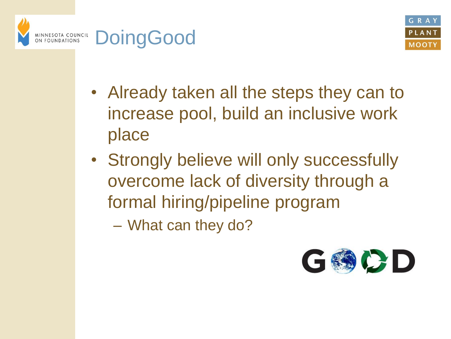



- Already taken all the steps they can to increase pool, build an inclusive work place
- Strongly believe will only successfully overcome lack of diversity through a formal hiring/pipeline program

– What can they do?

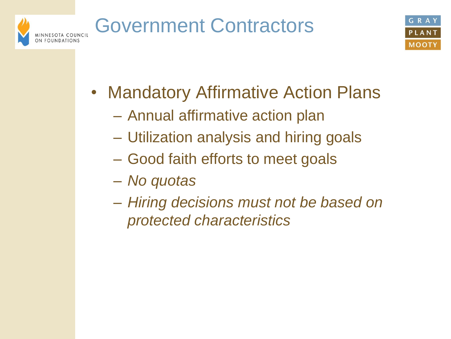# Government Contractors



- Mandatory Affirmative Action Plans
	- Annual affirmative action plan
	- Utilization analysis and hiring goals
	- Good faith efforts to meet goals
	- *No quotas*
	- *Hiring decisions must not be based on protected characteristics*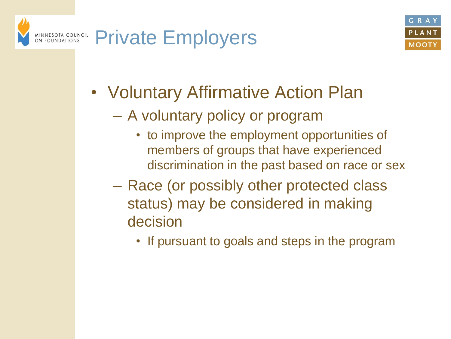



- Voluntary Affirmative Action Plan
	- A voluntary policy or program
		- to improve the employment opportunities of members of groups that have experienced discrimination in the past based on race or sex
	- Race (or possibly other protected class status) may be considered in making decision
		- If pursuant to goals and steps in the program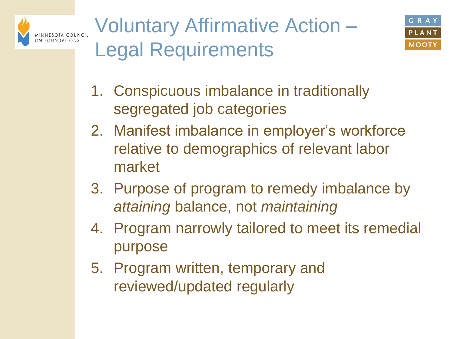





- 1. Conspicuous imbalance in traditionally segregated job categories
- 2. Manifest imbalance in employer's workforce relative to demographics of relevant labor market
- 3. Purpose of program to remedy imbalance by *attaining* balance, not *maintaining*
- 4. Program narrowly tailored to meet its remedial purpose
- 5. Program written, temporary and reviewed/updated regularly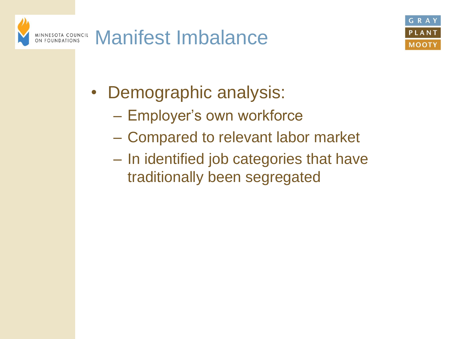



- Demographic analysis:
	- Employer's own workforce
	- Compared to relevant labor market
	- In identified job categories that have traditionally been segregated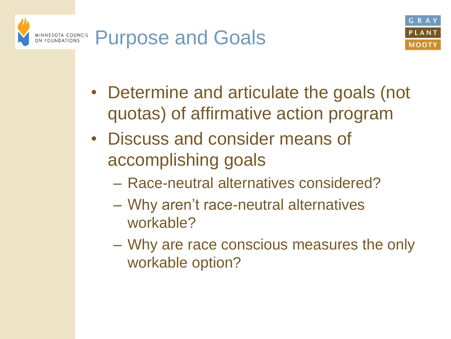



- Determine and articulate the goals (not quotas) of affirmative action program
- Discuss and consider means of accomplishing goals
	- Race-neutral alternatives considered?
	- Why aren't race-neutral alternatives workable?
	- Why are race conscious measures the only workable option?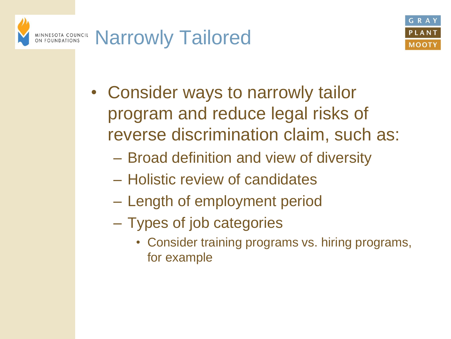



- Consider ways to narrowly tailor program and reduce legal risks of reverse discrimination claim, such as:
	- Broad definition and view of diversity
	- Holistic review of candidates
	- Length of employment period
	- Types of job categories
		- Consider training programs vs. hiring programs, for example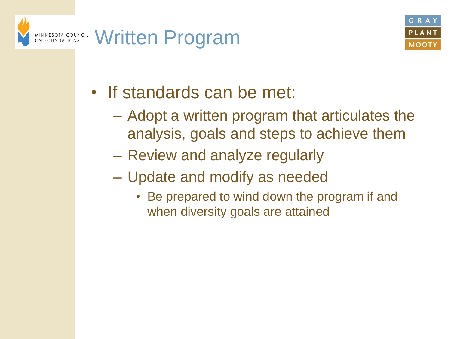



- If standards can be met:
	- Adopt a written program that articulates the analysis, goals and steps to achieve them
	- Review and analyze regularly
	- Update and modify as needed
		- Be prepared to wind down the program if and when diversity goals are attained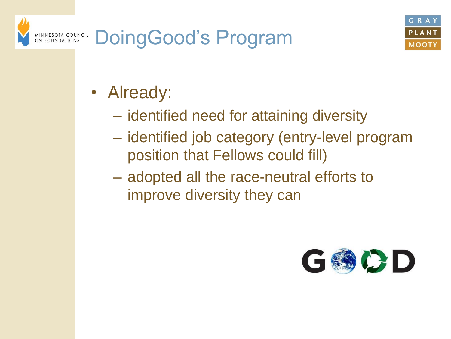



- Already:
	- identified need for attaining diversity
	- identified job category (entry-level program position that Fellows could fill)
	- adopted all the race-neutral efforts to improve diversity they can

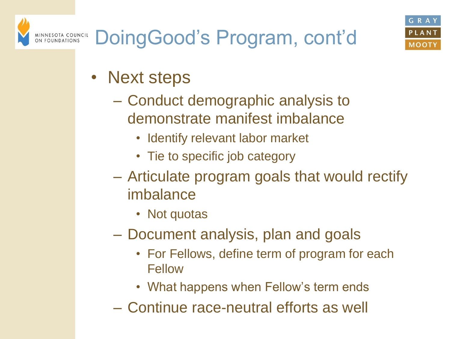- Next steps
	- Conduct demographic analysis to demonstrate manifest imbalance
		- Identify relevant labor market
		- Tie to specific job category
	- Articulate program goals that would rectify imbalance
		- Not quotas
	- Document analysis, plan and goals
		- For Fellows, define term of program for each Fellow
		- What happens when Fellow's term ends
	- Continue race-neutral efforts as well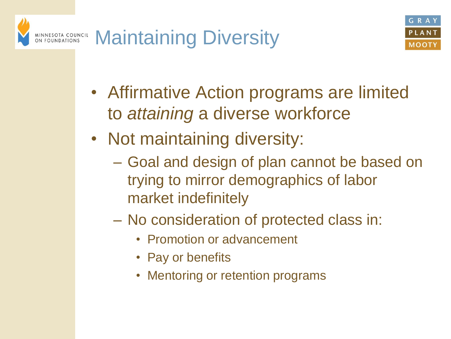



- Affirmative Action programs are limited to *attaining* a diverse workforce
- Not maintaining diversity:
	- Goal and design of plan cannot be based on trying to mirror demographics of labor market indefinitely
	- No consideration of protected class in:
		- Promotion or advancement
		- Pay or benefits
		- Mentoring or retention programs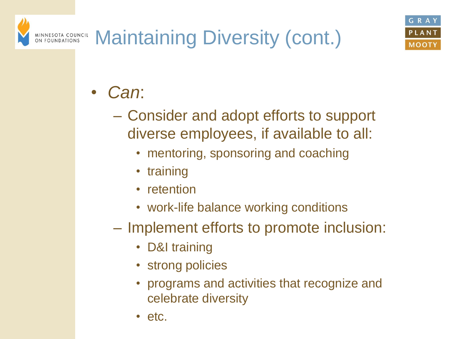#### Maintaining Diversity (cont.) MINNESOTA COUNCIL<br>ON FOUNDATIONS

- *Can*:
	- Consider and adopt efforts to support diverse employees, if available to all:
		- mentoring, sponsoring and coaching
		- training
		- retention
		- work-life balance working conditions
	- Implement efforts to promote inclusion:
		- D&I training
		- strong policies
		- programs and activities that recognize and celebrate diversity
		- etc.